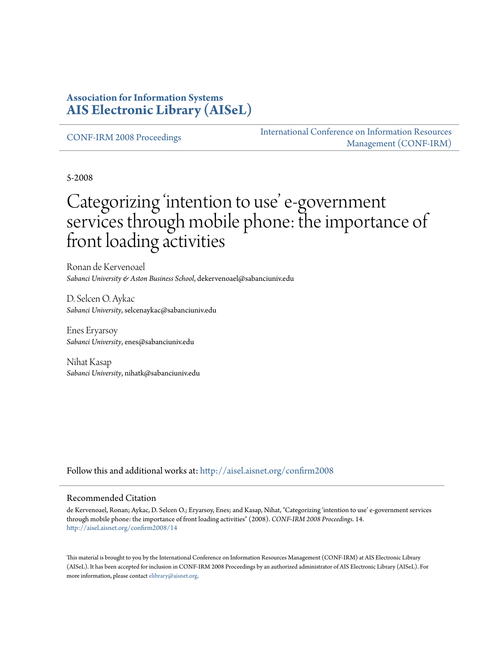### **Association for Information Systems [AIS Electronic Library \(AISeL\)](http://aisel.aisnet.org?utm_source=aisel.aisnet.org%2Fconfirm2008%2F14&utm_medium=PDF&utm_campaign=PDFCoverPages)**

[CONF-IRM 2008 Proceedings](http://aisel.aisnet.org/confirm2008?utm_source=aisel.aisnet.org%2Fconfirm2008%2F14&utm_medium=PDF&utm_campaign=PDFCoverPages)

[International Conference on Information Resources](http://aisel.aisnet.org/conf-irm?utm_source=aisel.aisnet.org%2Fconfirm2008%2F14&utm_medium=PDF&utm_campaign=PDFCoverPages) [Management \(CONF-IRM\)](http://aisel.aisnet.org/conf-irm?utm_source=aisel.aisnet.org%2Fconfirm2008%2F14&utm_medium=PDF&utm_campaign=PDFCoverPages)

5-2008

# Categorizing 'intention to use' e-government services through mobile phone: the importance of front loading activities

Ronan de Kervenoael *Sabanci University & Aston Business School*, dekervenoael@sabanciuniv.edu

D. Selcen O. Aykac *Sabanci University*, selcenaykac@sabanciuniv.edu

Enes Eryarsoy *Sabanci University*, enes@sabanciuniv.edu

Nihat Kasap *Sabanci University*, nihatk@sabanciuniv.edu

Follow this and additional works at: [http://aisel.aisnet.org/confirm2008](http://aisel.aisnet.org/confirm2008?utm_source=aisel.aisnet.org%2Fconfirm2008%2F14&utm_medium=PDF&utm_campaign=PDFCoverPages)

#### Recommended Citation

de Kervenoael, Ronan; Aykac, D. Selcen O.; Eryarsoy, Enes; and Kasap, Nihat, "Categorizing 'intention to use' e-government services through mobile phone: the importance of front loading activities" (2008). *CONF-IRM 2008 Proceedings*. 14. [http://aisel.aisnet.org/confirm2008/14](http://aisel.aisnet.org/confirm2008/14?utm_source=aisel.aisnet.org%2Fconfirm2008%2F14&utm_medium=PDF&utm_campaign=PDFCoverPages)

This material is brought to you by the International Conference on Information Resources Management (CONF-IRM) at AIS Electronic Library (AISeL). It has been accepted for inclusion in CONF-IRM 2008 Proceedings by an authorized administrator of AIS Electronic Library (AISeL). For more information, please contact [elibrary@aisnet.org.](mailto:elibrary@aisnet.org%3E)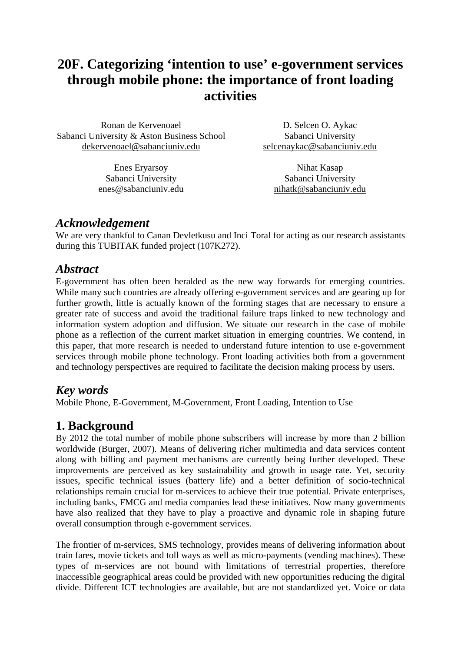## **20F. Categorizing 'intention to use' e-government services through mobile phone: the importance of front loading activities**

Ronan de Kervenoael Sabanci University & Aston Business School dekervenoael@sabanciuniv.edu

> Enes Eryarsoy Sabanci University enes@sabanciuniv.edu

D. Selcen O. Aykac Sabanci University selcenaykac@sabanciuniv.edu

Nihat Kasap Sabanci University nihatk@sabanciuniv.edu

### *Acknowledgement*

We are very thankful to Canan Devletkusu and Inci Toral for acting as our research assistants during this TUBITAK funded project (107K272).

### *Abstract*

E-government has often been heralded as the new way forwards for emerging countries. While many such countries are already offering e-government services and are gearing up for further growth, little is actually known of the forming stages that are necessary to ensure a greater rate of success and avoid the traditional failure traps linked to new technology and information system adoption and diffusion. We situate our research in the case of mobile phone as a reflection of the current market situation in emerging countries. We contend, in this paper, that more research is needed to understand future intention to use e-government services through mobile phone technology. Front loading activities both from a government and technology perspectives are required to facilitate the decision making process by users.

### *Key words*

Mobile Phone, E-Government, M-Government, Front Loading, Intention to Use

### **1. Background**

By 2012 the total number of mobile phone subscribers will increase by more than 2 billion worldwide (Burger, 2007). Means of delivering richer multimedia and data services content along with billing and payment mechanisms are currently being further developed. These improvements are perceived as key sustainability and growth in usage rate. Yet, security issues, specific technical issues (battery life) and a better definition of socio-technical relationships remain crucial for m-services to achieve their true potential. Private enterprises, including banks, FMCG and media companies lead these initiatives. Now many governments have also realized that they have to play a proactive and dynamic role in shaping future overall consumption through e-government services.

The frontier of m-services, SMS technology, provides means of delivering information about train fares, movie tickets and toll ways as well as micro-payments (vending machines). These types of m-services are not bound with limitations of terrestrial properties, therefore inaccessible geographical areas could be provided with new opportunities reducing the digital divide. Different ICT technologies are available, but are not standardized yet. Voice or data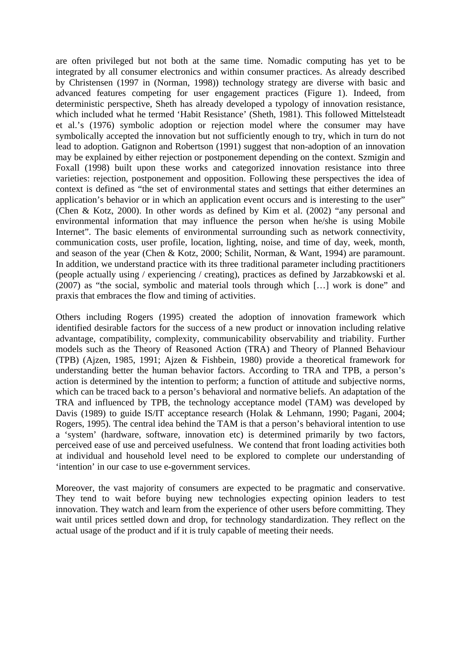are often privileged but not both at the same time. Nomadic computing has yet to be integrated by all consumer electronics and within consumer practices. As already described by Christensen (1997 in (Norman, 1998)) technology strategy are diverse with basic and advanced features competing for user engagement practices (Figure 1). Indeed, from deterministic perspective, Sheth has already developed a typology of innovation resistance, which included what he termed 'Habit Resistance' (Sheth, 1981). This followed Mittelsteadt et al.'s (1976) symbolic adoption or rejection model where the consumer may have symbolically accepted the innovation but not sufficiently enough to try, which in turn do not lead to adoption. Gatignon and Robertson (1991) suggest that non-adoption of an innovation may be explained by either rejection or postponement depending on the context. Szmigin and Foxall (1998) built upon these works and categorized innovation resistance into three varieties: rejection, postponement and opposition. Following these perspectives the idea of context is defined as "the set of environmental states and settings that either determines an application's behavior or in which an application event occurs and is interesting to the user" (Chen & Kotz, 2000). In other words as defined by Kim et al. (2002) "any personal and environmental information that may influence the person when he/she is using Mobile Internet". The basic elements of environmental surrounding such as network connectivity, communication costs, user profile, location, lighting, noise, and time of day, week, month, and season of the year (Chen & Kotz, 2000; Schilit, Norman, & Want, 1994) are paramount. In addition, we understand practice with its three traditional parameter including practitioners (people actually using / experiencing / creating), practices as defined by Jarzabkowski et al. (2007) as "the social, symbolic and material tools through which […] work is done" and praxis that embraces the flow and timing of activities.

Others including Rogers (1995) created the adoption of innovation framework which identified desirable factors for the success of a new product or innovation including relative advantage, compatibility, complexity, communicability observability and triability. Further models such as the Theory of Reasoned Action (TRA) and Theory of Planned Behaviour (TPB) (Ajzen, 1985, 1991; Ajzen & Fishbein, 1980) provide a theoretical framework for understanding better the human behavior factors. According to TRA and TPB, a person's action is determined by the intention to perform; a function of attitude and subjective norms, which can be traced back to a person's behavioral and normative beliefs. An adaptation of the TRA and influenced by TPB, the technology acceptance model (TAM) was developed by Davis (1989) to guide IS/IT acceptance research (Holak & Lehmann, 1990; Pagani, 2004; Rogers, 1995). The central idea behind the TAM is that a person's behavioral intention to use a 'system' (hardware, software, innovation etc) is determined primarily by two factors, perceived ease of use and perceived usefulness. We contend that front loading activities both at individual and household level need to be explored to complete our understanding of 'intention' in our case to use e-government services.

Moreover, the vast majority of consumers are expected to be pragmatic and conservative. They tend to wait before buying new technologies expecting opinion leaders to test innovation. They watch and learn from the experience of other users before committing. They wait until prices settled down and drop, for technology standardization. They reflect on the actual usage of the product and if it is truly capable of meeting their needs.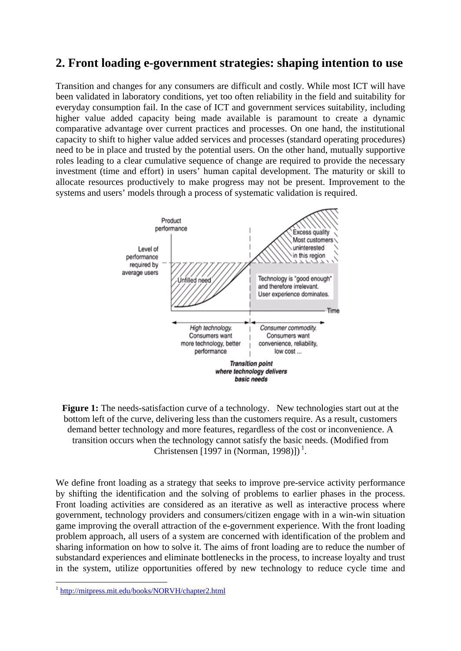### **2. Front loading e-government strategies: shaping intention to use**

Transition and changes for any consumers are difficult and costly. While most ICT will have been validated in laboratory conditions, yet too often reliability in the field and suitability for everyday consumption fail. In the case of ICT and government services suitability, including higher value added capacity being made available is paramount to create a dynamic comparative advantage over current practices and processes. On one hand, the institutional capacity to shift to higher value added services and processes (standard operating procedures) need to be in place and trusted by the potential users. On the other hand, mutually supportive roles leading to a clear cumulative sequence of change are required to provide the necessary investment (time and effort) in users' human capital development. The maturity or skill to allocate resources productively to make progress may not be present. Improvement to the systems and users' models through a process of systematic validation is required.



**Figure 1:** The needs-satisfaction curve of a technology. New technologies start out at the bottom left of the curve, delivering less than the customers require. As a result, customers demand better technology and more features, regardless of the cost or inconvenience. A transition occurs when the technology cannot satisfy the basic needs. (Modified from Christensen [1997 in (Norman, 1998)])<sup>1</sup>.

We define front loading as a strategy that seeks to improve pre-service activity performance by shifting the identification and the solving of problems to earlier phases in the process. Front loading activities are considered as an iterative as well as interactive process where government, technology providers and consumers/citizen engage with in a win-win situation game improving the overall attraction of the e-government experience. With the front loading problem approach, all users of a system are concerned with identification of the problem and sharing information on how to solve it. The aims of front loading are to reduce the number of substandard experiences and eliminate bottlenecks in the process, to increase loyalty and trust in the system, utilize opportunities offered by new technology to reduce cycle time and

1

<sup>1</sup> http://mitpress.mit.edu/books/NORVH/chapter2.html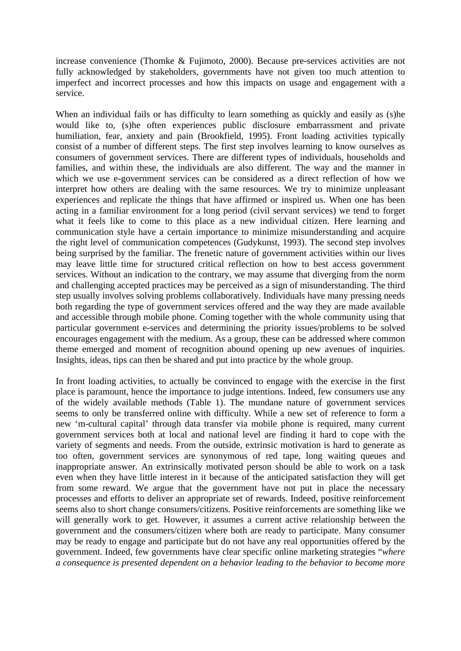increase convenience (Thomke & Fujimoto, 2000). Because pre-services activities are not fully acknowledged by stakeholders, governments have not given too much attention to imperfect and incorrect processes and how this impacts on usage and engagement with a service.

When an individual fails or has difficulty to learn something as quickly and easily as (s)he would like to, (s)he often experiences public disclosure embarrassment and private humiliation, fear, anxiety and pain (Brookfield, 1995). Front loading activities typically consist of a number of different steps. The first step involves learning to know ourselves as consumers of government services. There are different types of individuals, households and families, and within these, the individuals are also different. The way and the manner in which we use e-government services can be considered as a direct reflection of how we interpret how others are dealing with the same resources. We try to minimize unpleasant experiences and replicate the things that have affirmed or inspired us. When one has been acting in a familiar environment for a long period (civil servant services) we tend to forget what it feels like to come to this place as a new individual citizen. Here learning and communication style have a certain importance to minimize misunderstanding and acquire the right level of communication competences (Gudykunst, 1993). The second step involves being surprised by the familiar. The frenetic nature of government activities within our lives may leave little time for structured critical reflection on how to best access government services. Without an indication to the contrary, we may assume that diverging from the norm and challenging accepted practices may be perceived as a sign of misunderstanding. The third step usually involves solving problems collaboratively. Individuals have many pressing needs both regarding the type of government services offered and the way they are made available and accessible through mobile phone. Coming together with the whole community using that particular government e-services and determining the priority issues/problems to be solved encourages engagement with the medium. As a group, these can be addressed where common theme emerged and moment of recognition abound opening up new avenues of inquiries. Insights, ideas, tips can then be shared and put into practice by the whole group.

In front loading activities, to actually be convinced to engage with the exercise in the first place is paramount, hence the importance to judge intentions. Indeed, few consumers use any of the widely available methods (Table 1). The mundane nature of government services seems to only be transferred online with difficulty. While a new set of reference to form a new 'm-cultural capital' through data transfer via mobile phone is required, many current government services both at local and national level are finding it hard to cope with the variety of segments and needs. From the outside, extrinsic motivation is hard to generate as too often, government services are synonymous of red tape, long waiting queues and inappropriate answer. An extrinsically motivated person should be able to work on a task even when they have little interest in it because of the anticipated satisfaction they will get from some reward. We argue that the government have not put in place the necessary processes and efforts to deliver an appropriate set of rewards. Indeed, positive reinforcement seems also to short change consumers/citizens. Positive reinforcements are something like we will generally work to get. However, it assumes a current active relationship between the government and the consumers/citizen where both are ready to participate. Many consumer may be ready to engage and participate but do not have any real opportunities offered by the government. Indeed, few governments have clear specific online marketing strategies "*where a consequence is presented dependent on a behavior leading to the behavior to become more*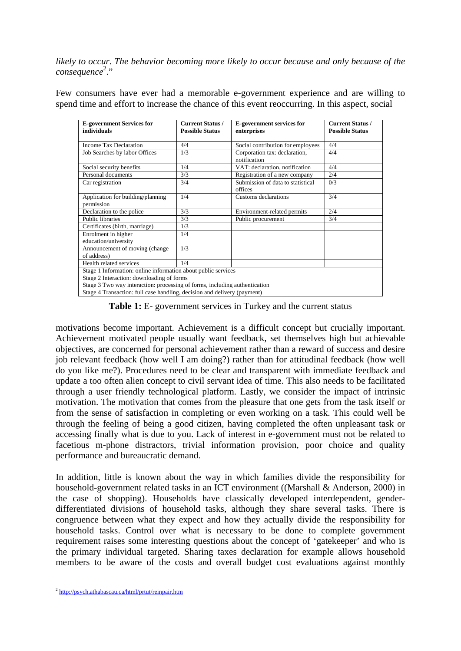*likely to occur. The behavior becoming more likely to occur because and only because of the consequence* 2 ."

Few consumers have ever had a memorable e-government experience and are willing to spend time and effort to increase the chance of this event reoccurring. In this aspect, social

| <b>E-government Services for</b><br>individuals                                                                                                                                                                                                                      | <b>Current Status /</b><br><b>Possible Status</b> | <b>E-government services for</b><br>enterprises | <b>Current Status /</b><br><b>Possible Status</b> |
|----------------------------------------------------------------------------------------------------------------------------------------------------------------------------------------------------------------------------------------------------------------------|---------------------------------------------------|-------------------------------------------------|---------------------------------------------------|
| <b>Income Tax Declaration</b>                                                                                                                                                                                                                                        | 4/4                                               | Social contribution for employees               | 4/4                                               |
| Job Searches by labor Offices                                                                                                                                                                                                                                        | 1/3                                               | Corporation tax: declaration,<br>notification   | 4/4                                               |
| Social security benefits                                                                                                                                                                                                                                             | 1/4                                               | VAT: declaration, notification                  | 4/4                                               |
| Personal documents                                                                                                                                                                                                                                                   | 3/3                                               | Registration of a new company                   | 2/4                                               |
| Car registration                                                                                                                                                                                                                                                     | 3/4                                               | Submission of data to statistical<br>offices    | 0/3                                               |
| Application for building/planning<br>permission                                                                                                                                                                                                                      | 1/4                                               | Customs declarations                            | 3/4                                               |
| Declaration to the police                                                                                                                                                                                                                                            | 3/3                                               | Environment-related permits                     | 2/4                                               |
| <b>Public libraries</b>                                                                                                                                                                                                                                              | 3/3                                               | Public procurement                              | 3/4                                               |
| Certificates (birth, marriage)                                                                                                                                                                                                                                       | 1/3                                               |                                                 |                                                   |
| Enrolment in higher<br>education/university                                                                                                                                                                                                                          | 1/4                                               |                                                 |                                                   |
| Announcement of moving (change<br>of address)                                                                                                                                                                                                                        | 1/3                                               |                                                 |                                                   |
| Health related services                                                                                                                                                                                                                                              | 1/4                                               |                                                 |                                                   |
| Stage 1 Information: online information about public services<br>Stage 2 Interaction: downloading of forms<br>Stage 3 Two way interaction: processing of forms, including authentication<br>Stage 4 Transaction: full case handling, decision and delivery (payment) |                                                   |                                                 |                                                   |

**Table 1:** E- government services in Turkey and the current status

motivations become important. Achievement is a difficult concept but crucially important. Achievement motivated people usually want feedback, set themselves high but achievable objectives, are concerned for personal achievement rather than a reward of success and desire job relevant feedback (how well I am doing?) rather than for attitudinal feedback (how well do you like me?). Procedures need to be clear and transparent with immediate feedback and update a too often alien concept to civil servant idea of time. This also needs to be facilitated through a user friendly technological platform. Lastly, we consider the impact of intrinsic motivation. The motivation that comes from the pleasure that one gets from the task itself or from the sense of satisfaction in completing or even working on a task. This could well be through the feeling of being a good citizen, having completed the often unpleasant task or accessing finally what is due to you. Lack of interest in e-government must not be related to facetious m-phone distractors, trivial information provision, poor choice and quality performance and bureaucratic demand.

In addition, little is known about the way in which families divide the responsibility for household-government related tasks in an ICT environment ((Marshall & Anderson, 2000) in the case of shopping). Households have classically developed interdependent, genderdifferentiated divisions of household tasks, although they share several tasks. There is congruence between what they expect and how they actually divide the responsibility for household tasks. Control over what is necessary to be done to complete government requirement raises some interesting questions about the concept of 'gatekeeper' and who is the primary individual targeted. Sharing taxes declaration for example allows household members to be aware of the costs and overall budget cost evaluations against monthly

<sup>1</sup> <sup>2</sup> http://psych.athabascau.ca/html/prtut/reinpair.htm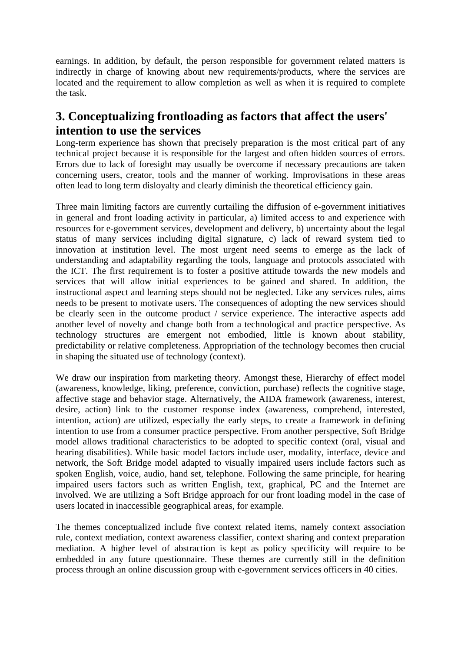earnings. In addition, by default, the person responsible for government related matters is indirectly in charge of knowing about new requirements/products, where the services are located and the requirement to allow completion as well as when it is required to complete the task.

### **3. Conceptualizing frontloading as factors that affect the users' intention to use the services**

Long-term experience has shown that precisely preparation is the most critical part of any technical project because it is responsible for the largest and often hidden sources of errors. Errors due to lack of foresight may usually be overcome if necessary precautions are taken concerning users, creator, tools and the manner of working. Improvisations in these areas often lead to long term disloyalty and clearly diminish the theoretical efficiency gain.

Three main limiting factors are currently curtailing the diffusion of e-government initiatives in general and front loading activity in particular, a) limited access to and experience with resources for e-government services, development and delivery, b) uncertainty about the legal status of many services including digital signature, c) lack of reward system tied to innovation at institution level. The most urgent need seems to emerge as the lack of understanding and adaptability regarding the tools, language and protocols associated with the ICT. The first requirement is to foster a positive attitude towards the new models and services that will allow initial experiences to be gained and shared. In addition, the instructional aspect and learning steps should not be neglected. Like any services rules, aims needs to be present to motivate users. The consequences of adopting the new services should be clearly seen in the outcome product / service experience. The interactive aspects add another level of novelty and change both from a technological and practice perspective. As technology structures are emergent not embodied, little is known about stability, predictability or relative completeness. Appropriation of the technology becomes then crucial in shaping the situated use of technology (context).

We draw our inspiration from marketing theory. Amongst these, Hierarchy of effect model (awareness, knowledge, liking, preference, conviction, purchase) reflects the cognitive stage, affective stage and behavior stage. Alternatively, the AIDA framework (awareness, interest, desire, action) link to the customer response index (awareness, comprehend, interested, intention, action) are utilized, especially the early steps, to create a framework in defining intention to use from a consumer practice perspective. From another perspective, Soft Bridge model allows traditional characteristics to be adopted to specific context (oral, visual and hearing disabilities). While basic model factors include user, modality, interface, device and network, the Soft Bridge model adapted to visually impaired users include factors such as spoken English, voice, audio, hand set, telephone. Following the same principle, for hearing impaired users factors such as written English, text, graphical, PC and the Internet are involved. We are utilizing a Soft Bridge approach for our front loading model in the case of users located in inaccessible geographical areas, for example.

The themes conceptualized include five context related items, namely context association rule, context mediation, context awareness classifier, context sharing and context preparation mediation. A higher level of abstraction is kept as policy specificity will require to be embedded in any future questionnaire. These themes are currently still in the definition process through an online discussion group with e-government services officers in 40 cities.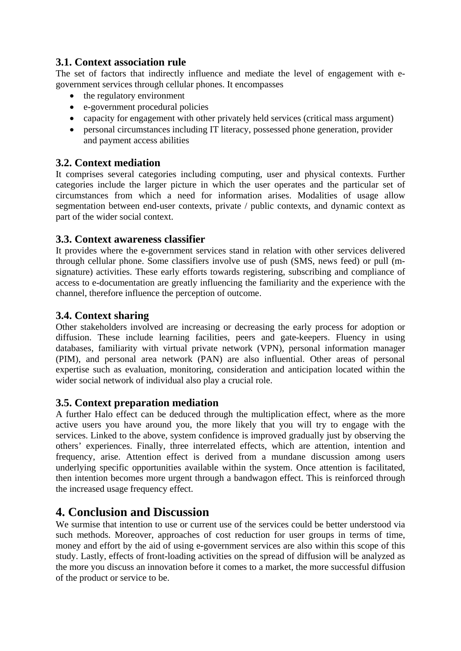#### **3.1. Context association rule**

The set of factors that indirectly influence and mediate the level of engagement with egovernment services through cellular phones. It encompasses

- the regulatory environment
- e-government procedural policies
- capacity for engagement with other privately held services (critical mass argument)
- personal circumstances including IT literacy, possessed phone generation, provider and payment access abilities

#### **3.2. Context mediation**

It comprises several categories including computing, user and physical contexts. Further categories include the larger picture in which the user operates and the particular set of circumstances from which a need for information arises. Modalities of usage allow segmentation between end-user contexts, private / public contexts, and dynamic context as part of the wider social context.

#### **3.3. Context awareness classifier**

It provides where the e-government services stand in relation with other services delivered through cellular phone. Some classifiers involve use of push (SMS, news feed) or pull (msignature) activities. These early efforts towards registering, subscribing and compliance of access to e-documentation are greatly influencing the familiarity and the experience with the channel, therefore influence the perception of outcome.

#### **3.4. Context sharing**

Other stakeholders involved are increasing or decreasing the early process for adoption or diffusion. These include learning facilities, peers and gate-keepers. Fluency in using databases, familiarity with virtual private network (VPN), personal information manager (PIM), and personal area network (PAN) are also influential. Other areas of personal expertise such as evaluation, monitoring, consideration and anticipation located within the wider social network of individual also play a crucial role.

#### **3.5. Context preparation mediation**

A further Halo effect can be deduced through the multiplication effect, where as the more active users you have around you, the more likely that you will try to engage with the services. Linked to the above, system confidence is improved gradually just by observing the others' experiences. Finally, three interrelated effects, which are attention, intention and frequency, arise. Attention effect is derived from a mundane discussion among users underlying specific opportunities available within the system. Once attention is facilitated, then intention becomes more urgent through a bandwagon effect. This is reinforced through the increased usage frequency effect.

### **4. Conclusion and Discussion**

We surmise that intention to use or current use of the services could be better understood via such methods. Moreover, approaches of cost reduction for user groups in terms of time, money and effort by the aid of using e-government services are also within this scope of this study. Lastly, effects of front-loading activities on the spread of diffusion will be analyzed as the more you discuss an innovation before it comes to a market, the more successful diffusion of the product or service to be.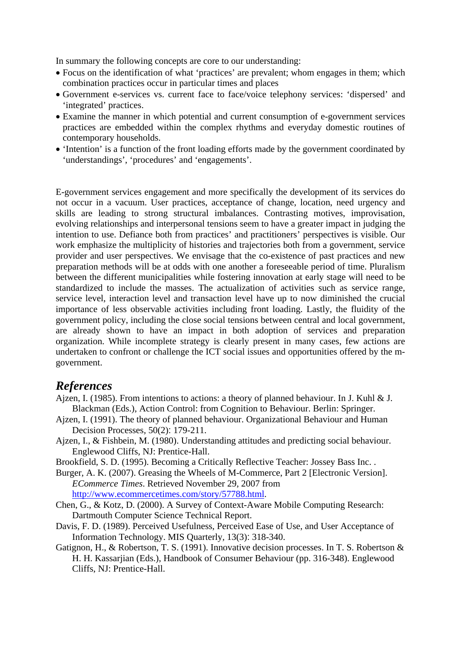In summary the following concepts are core to our understanding:

- Focus on the identification of what 'practices' are prevalent; whom engages in them; which combination practices occur in particular times and places
- Government e-services vs. current face to face/voice telephony services: 'dispersed' and 'integrated' practices.
- Examine the manner in which potential and current consumption of e-government services practices are embedded within the complex rhythms and everyday domestic routines of contemporary households.
- 'Intention' is a function of the front loading efforts made by the government coordinated by 'understandings', 'procedures' and 'engagements'.

E-government services engagement and more specifically the development of its services do not occur in a vacuum. User practices, acceptance of change, location, need urgency and skills are leading to strong structural imbalances. Contrasting motives, improvisation, evolving relationships and interpersonal tensions seem to have a greater impact in judging the intention to use. Defiance both from practices' and practitioners' perspectives is visible. Our work emphasize the multiplicity of histories and trajectories both from a government, service provider and user perspectives. We envisage that the co-existence of past practices and new preparation methods will be at odds with one another a foreseeable period of time. Pluralism between the different municipalities while fostering innovation at early stage will need to be standardized to include the masses. The actualization of activities such as service range, service level, interaction level and transaction level have up to now diminished the crucial importance of less observable activities including front loading. Lastly, the fluidity of the government policy, including the close social tensions between central and local government, are already shown to have an impact in both adoption of services and preparation organization. While incomplete strategy is clearly present in many cases, few actions are undertaken to confront or challenge the ICT social issues and opportunities offered by the mgovernment.

#### *References*

- Ajzen, I. (1985). From intentions to actions: a theory of planned behaviour. In J. Kuhl & J. Blackman (Eds.), Action Control: from Cognition to Behaviour. Berlin: Springer.
- Ajzen, I. (1991). The theory of planned behaviour. Organizational Behaviour and Human Decision Processes*,* 50(2): 179-211.
- Ajzen, I., & Fishbein, M. (1980). Understanding attitudes and predicting social behaviour. Englewood Cliffs, NJ: Prentice-Hall.
- Brookfield, S. D. (1995). Becoming a Critically Reflective Teacher: Jossey Bass Inc. .
- Burger, A. K. (2007). Greasing the Wheels of M-Commerce, Part 2 [Electronic Version]. *ECommerce Times*. Retrieved November 29, 2007 from
	- http://www.ecommercetimes.com/story/57788.html.
- Chen, G., & Kotz, D. (2000). A Survey of Context-Aware Mobile Computing Research: Dartmouth Computer Science Technical Report.
- Davis, F. D. (1989). Perceived Usefulness, Perceived Ease of Use, and User Acceptance of Information Technology. MIS Quarterly*,* 13(3): 318-340.
- Gatignon, H., & Robertson, T. S. (1991). Innovative decision processes. In T. S. Robertson & H. H. Kassarjian (Eds.), Handbook of Consumer Behaviour (pp. 316-348). Englewood Cliffs, NJ: Prentice-Hall.